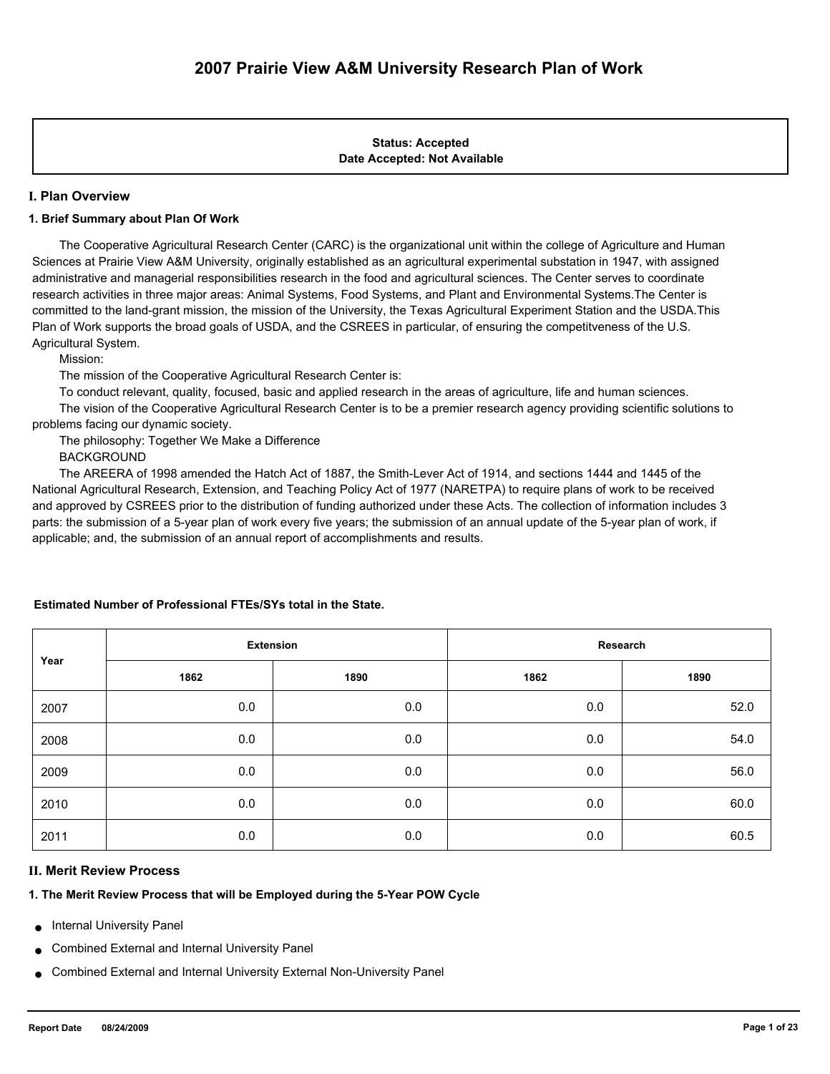# **Date Accepted: Not Available Status: Accepted**

# **I. Plan Overview**

# **1. Brief Summary about Plan Of Work**

 The Cooperative Agricultural Research Center (CARC) is the organizational unit within the college of Agriculture and Human Sciences at Prairie View A&M University, originally established as an agricultural experimental substation in 1947, with assigned administrative and managerial responsibilities research in the food and agricultural sciences. The Center serves to coordinate research activities in three major areas: Animal Systems, Food Systems, and Plant and Environmental Systems.The Center is committed to the land-grant mission, the mission of the University, the Texas Agricultural Experiment Station and the USDA.This Plan of Work supports the broad goals of USDA, and the CSREES in particular, of ensuring the competitveness of the U.S. Agricultural System.

Mission:

The mission of the Cooperative Agricultural Research Center is:

To conduct relevant, quality, focused, basic and applied research in the areas of agriculture, life and human sciences.

 The vision of the Cooperative Agricultural Research Center is to be a premier research agency providing scientific solutions to problems facing our dynamic society.

The philosophy: Together We Make a Difference

BACKGROUND

 The AREERA of 1998 amended the Hatch Act of 1887, the Smith-Lever Act of 1914, and sections 1444 and 1445 of the National Agricultural Research, Extension, and Teaching Policy Act of 1977 (NARETPA) to require plans of work to be received and approved by CSREES prior to the distribution of funding authorized under these Acts. The collection of information includes 3 parts: the submission of a 5-year plan of work every five years; the submission of an annual update of the 5-year plan of work, if applicable; and, the submission of an annual report of accomplishments and results.

| Year | <b>Extension</b> |      | Research |      |  |
|------|------------------|------|----------|------|--|
|      | 1862             | 1890 | 1862     | 1890 |  |
| 2007 | 0.0              | 0.0  | 0.0      | 52.0 |  |
| 2008 | 0.0              | 0.0  | 0.0      | 54.0 |  |
| 2009 | 0.0              | 0.0  | 0.0      | 56.0 |  |
| 2010 | 0.0              | 0.0  | 0.0      | 60.0 |  |
| 2011 | 0.0              | 0.0  | 0.0      | 60.5 |  |

# **Estimated Number of Professional FTEs/SYs total in the State.**

# **II. Merit Review Process**

# **1. The Merit Review Process that will be Employed during the 5-Year POW Cycle**

- **Internal University Panel**
- Combined External and Internal University Panel
- Combined External and Internal University External Non-University Panel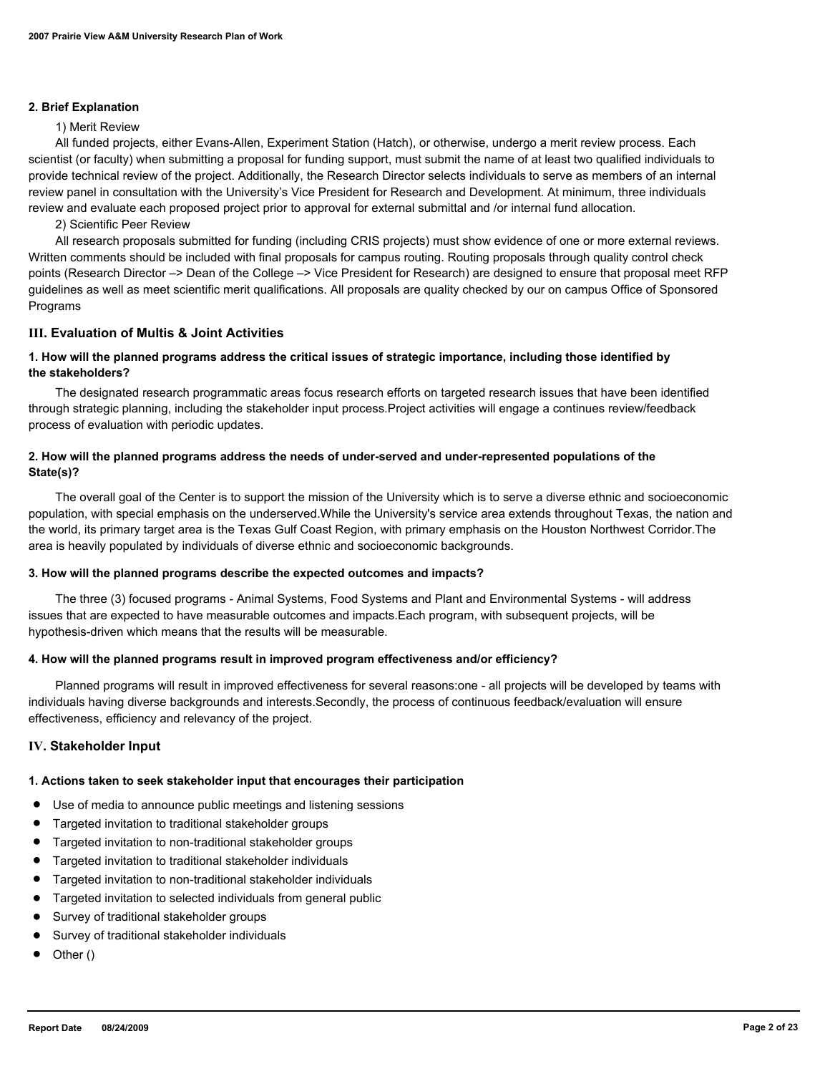#### **2. Brief Explanation**

#### 1) Merit Review

 All funded projects, either Evans-Allen, Experiment Station (Hatch), or otherwise, undergo a merit review process. Each scientist (or faculty) when submitting a proposal for funding support, must submit the name of at least two qualified individuals to provide technical review of the project. Additionally, the Research Director selects individuals to serve as members of an internal review panel in consultation with the University's Vice President for Research and Development. At minimum, three individuals review and evaluate each proposed project prior to approval for external submittal and /or internal fund allocation.

2) Scientific Peer Review

 All research proposals submitted for funding (including CRIS projects) must show evidence of one or more external reviews. Written comments should be included with final proposals for campus routing. Routing proposals through quality control check points (Research Director –> Dean of the College –> Vice President for Research) are designed to ensure that proposal meet RFP guidelines as well as meet scientific merit qualifications. All proposals are quality checked by our on campus Office of Sponsored Programs

#### **III. Evaluation of Multis & Joint Activities**

# **1. How will the planned programs address the critical issues of strategic importance, including those identified by the stakeholders?**

 The designated research programmatic areas focus research efforts on targeted research issues that have been identified through strategic planning, including the stakeholder input process.Project activities will engage a continues review/feedback process of evaluation with periodic updates.

# **2. How will the planned programs address the needs of under-served and under-represented populations of the State(s)?**

 The overall goal of the Center is to support the mission of the University which is to serve a diverse ethnic and socioeconomic population, with special emphasis on the underserved.While the University's service area extends throughout Texas, the nation and the world, its primary target area is the Texas Gulf Coast Region, with primary emphasis on the Houston Northwest Corridor.The area is heavily populated by individuals of diverse ethnic and socioeconomic backgrounds.

# **3. How will the planned programs describe the expected outcomes and impacts?**

 The three (3) focused programs - Animal Systems, Food Systems and Plant and Environmental Systems - will address issues that are expected to have measurable outcomes and impacts.Each program, with subsequent projects, will be hypothesis-driven which means that the results will be measurable.

# **4. How will the planned programs result in improved program effectiveness and/or efficiency?**

 Planned programs will result in improved effectiveness for several reasons:one - all projects will be developed by teams with individuals having diverse backgrounds and interests.Secondly, the process of continuous feedback/evaluation will ensure effectiveness, efficiency and relevancy of the project.

# **IV. Stakeholder Input**

# **1. Actions taken to seek stakeholder input that encourages their participation**

- Use of media to announce public meetings and listening sessions
- Targeted invitation to traditional stakeholder groups
- Targeted invitation to non-traditional stakeholder groups
- Targeted invitation to traditional stakeholder individuals
- Targeted invitation to non-traditional stakeholder individuals
- Targeted invitation to selected individuals from general public
- Survey of traditional stakeholder groups
- Survey of traditional stakeholder individuals
- Other ()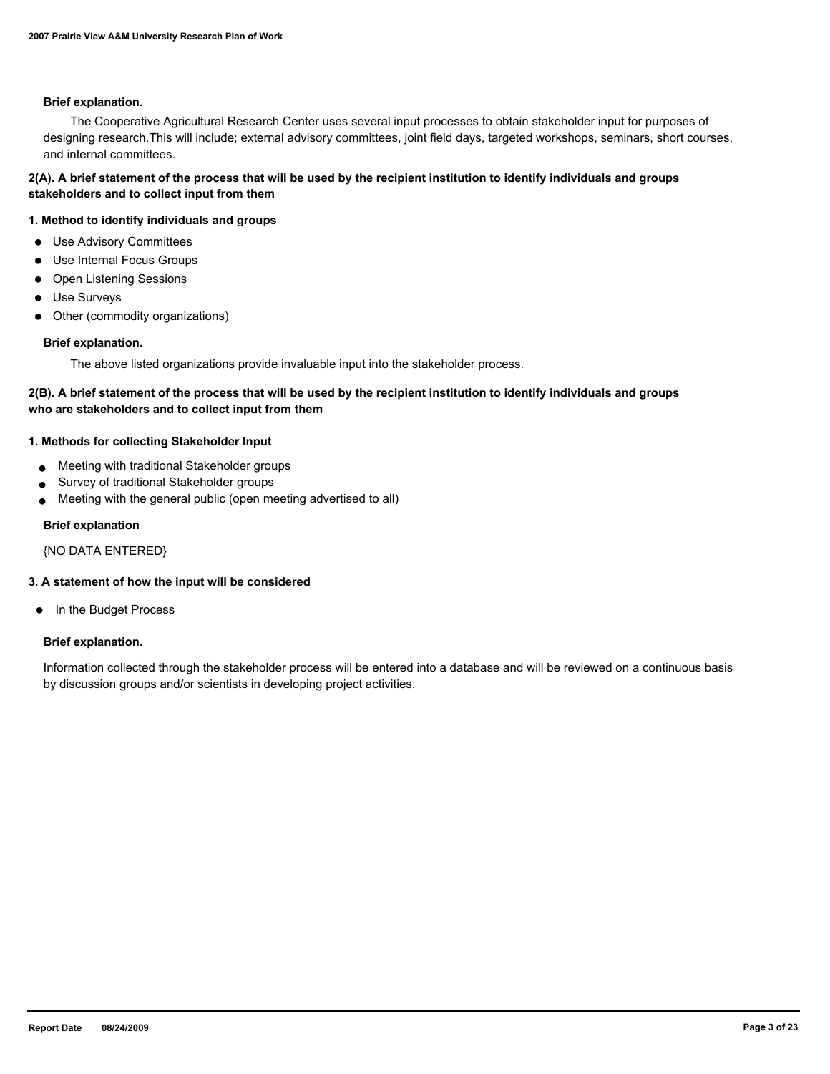#### **Brief explanation.**

 The Cooperative Agricultural Research Center uses several input processes to obtain stakeholder input for purposes of designing research.This will include; external advisory committees, joint field days, targeted workshops, seminars, short courses, and internal committees.

# **2(A). A brief statement of the process that will be used by the recipient institution to identify individuals and groups stakeholders and to collect input from them**

# **1. Method to identify individuals and groups**

- Use Advisory Committees
- Use Internal Focus Groups
- Open Listening Sessions
- Use Surveys
- Other (commodity organizations)

#### **Brief explanation.**

The above listed organizations provide invaluable input into the stakeholder process.

# **2(B). A brief statement of the process that will be used by the recipient institution to identify individuals and groups who are stakeholders and to collect input from them**

#### **1. Methods for collecting Stakeholder Input**

- Meeting with traditional Stakeholder groups
- Survey of traditional Stakeholder groups
- Meeting with the general public (open meeting advertised to all)

#### **Brief explanation**

{NO DATA ENTERED}

# **3. A statement of how the input will be considered**

● In the Budget Process

#### **Brief explanation.**

Information collected through the stakeholder process will be entered into a database and will be reviewed on a continuous basis by discussion groups and/or scientists in developing project activities.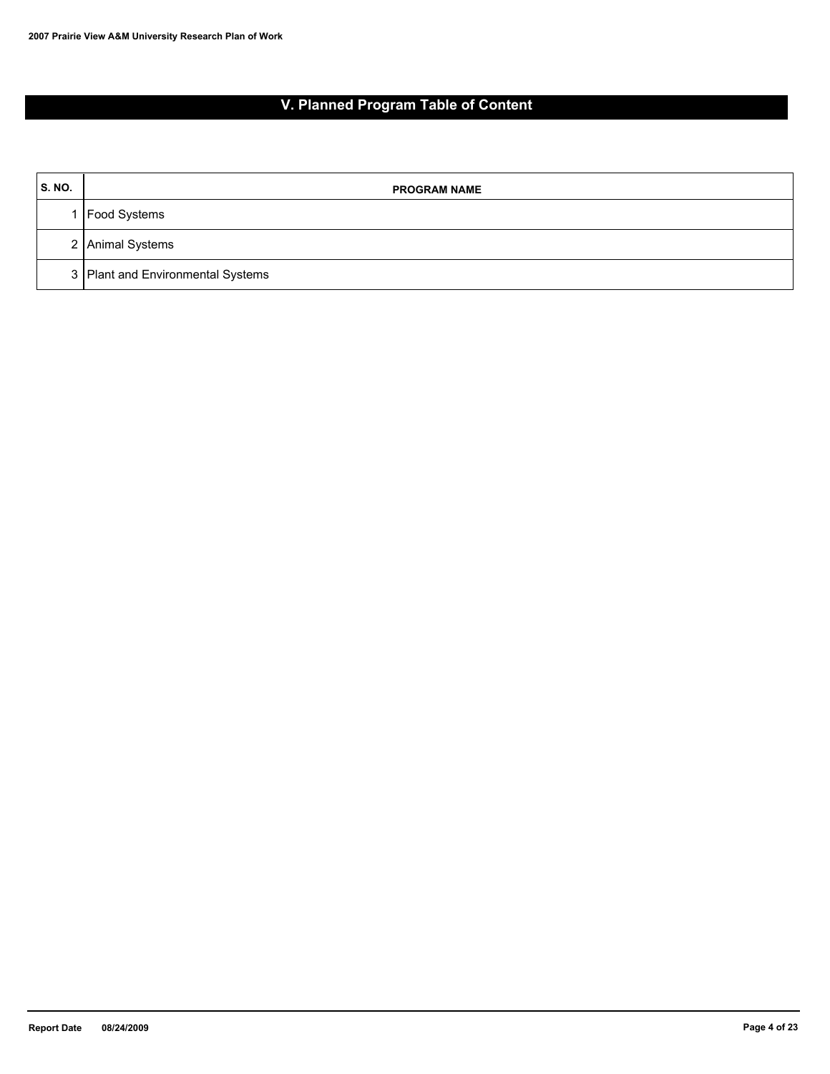# **V. Planned Program Table of Content**

| <b>S. NO.</b> | <b>PROGRAM NAME</b>               |
|---------------|-----------------------------------|
|               | Food Systems                      |
|               | 2 Animal Systems                  |
|               | 3 Plant and Environmental Systems |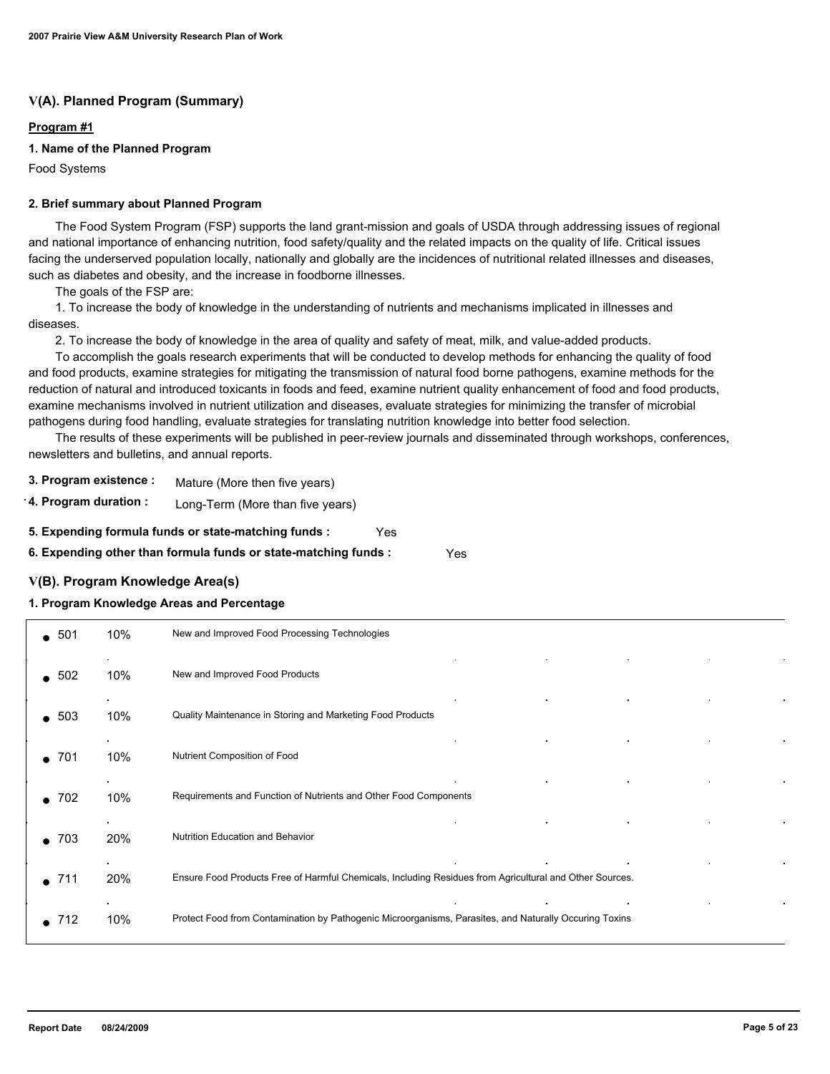# **V(A). Planned Program (Summary)**

# **Program #1**

# **1. Name of the Planned Program**

Food Systems

#### **2. Brief summary about Planned Program**

 The Food System Program (FSP) supports the land grant-mission and goals of USDA through addressing issues of regional and national importance of enhancing nutrition, food safety/quality and the related impacts on the quality of life. Critical issues facing the underserved population locally, nationally and globally are the incidences of nutritional related illnesses and diseases, such as diabetes and obesity, and the increase in foodborne illnesses.

The goals of the FSP are:

 1. To increase the body of knowledge in the understanding of nutrients and mechanisms implicated in illnesses and diseases.

2. To increase the body of knowledge in the area of quality and safety of meat, milk, and value-added products.

 To accomplish the goals research experiments that will be conducted to develop methods for enhancing the quality of food and food products, examine strategies for mitigating the transmission of natural food borne pathogens, examine methods for the reduction of natural and introduced toxicants in foods and feed, examine nutrient quality enhancement of food and food products, examine mechanisms involved in nutrient utilization and diseases, evaluate strategies for minimizing the transfer of microbial pathogens during food handling, evaluate strategies for translating nutrition knowledge into better food selection.

 The results of these experiments will be published in peer-review journals and disseminated through workshops, conferences, newsletters and bulletins, and annual reports.

**3. Program existence :** Mature (More then five years)

**4. Program duration :** Long-Term (More than five years)

- **5. Expending formula funds or state-matching funds :** Yes
- **6. Expending other than formula funds or state-matching funds :** Yes

#### **V(B). Program Knowledge Area(s)**

# **1. Program Knowledge Areas and Percentage**

| $\bullet$ 501 | 10% | New and Improved Food Processing Technologies                                                           |
|---------------|-----|---------------------------------------------------------------------------------------------------------|
| $\bullet$ 502 | 10% | New and Improved Food Products                                                                          |
| $\bullet$ 503 | 10% | Quality Maintenance in Storing and Marketing Food Products                                              |
| 701           | 10% | Nutrient Composition of Food                                                                            |
| 702           | 10% | Requirements and Function of Nutrients and Other Food Components                                        |
| $\bullet$ 703 | 20% | Nutrition Education and Behavior                                                                        |
| 711           | 20% | Ensure Food Products Free of Harmful Chemicals, Including Residues from Agricultural and Other Sources. |
| 712           | 10% | Protect Food from Contamination by Pathogenic Microorganisms, Parasites, and Naturally Occuring Toxins  |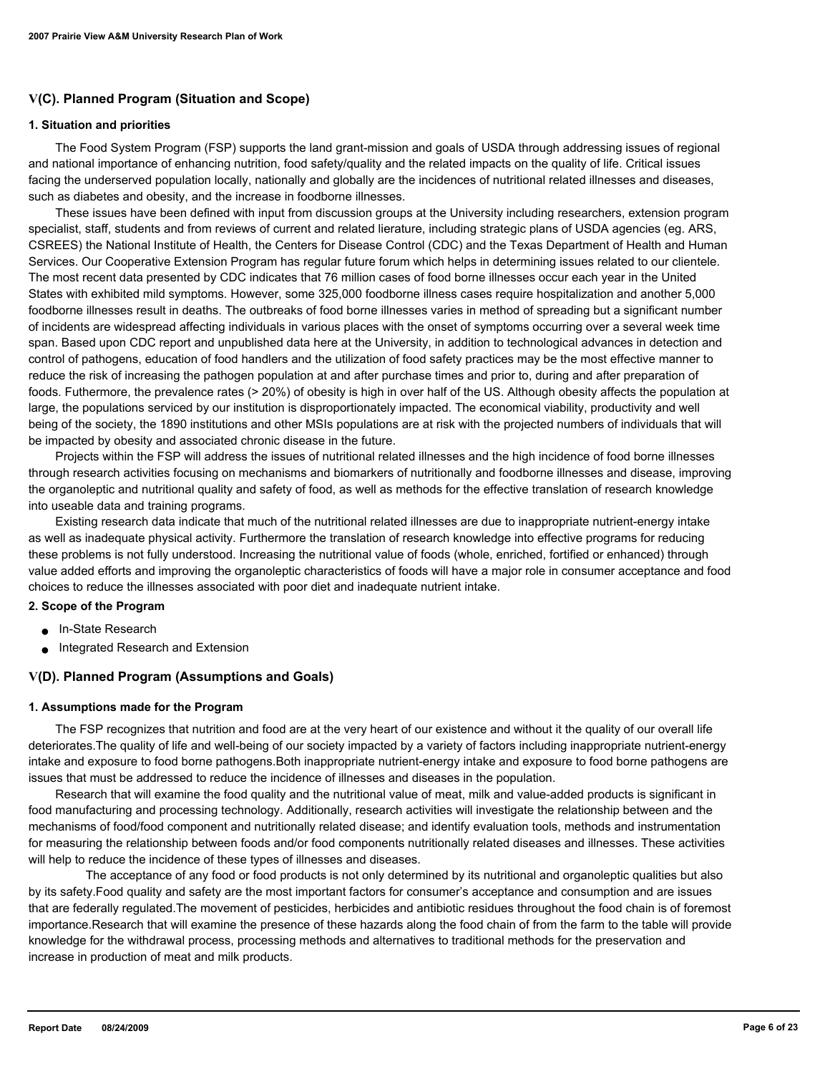# **V(C). Planned Program (Situation and Scope)**

#### **1. Situation and priorities**

 The Food System Program (FSP) supports the land grant-mission and goals of USDA through addressing issues of regional and national importance of enhancing nutrition, food safety/quality and the related impacts on the quality of life. Critical issues facing the underserved population locally, nationally and globally are the incidences of nutritional related illnesses and diseases, such as diabetes and obesity, and the increase in foodborne illnesses.

 These issues have been defined with input from discussion groups at the University including researchers, extension program specialist, staff, students and from reviews of current and related lierature, including strategic plans of USDA agencies (eg. ARS, CSREES) the National Institute of Health, the Centers for Disease Control (CDC) and the Texas Department of Health and Human Services. Our Cooperative Extension Program has regular future forum which helps in determining issues related to our clientele. The most recent data presented by CDC indicates that 76 million cases of food borne illnesses occur each year in the United States with exhibited mild symptoms. However, some 325,000 foodborne illness cases require hospitalization and another 5,000 foodborne illnesses result in deaths. The outbreaks of food borne illnesses varies in method of spreading but a significant number of incidents are widespread affecting individuals in various places with the onset of symptoms occurring over a several week time span. Based upon CDC report and unpublished data here at the University, in addition to technological advances in detection and control of pathogens, education of food handlers and the utilization of food safety practices may be the most effective manner to reduce the risk of increasing the pathogen population at and after purchase times and prior to, during and after preparation of foods. Futhermore, the prevalence rates (> 20%) of obesity is high in over half of the US. Although obesity affects the population at large, the populations serviced by our institution is disproportionately impacted. The economical viability, productivity and well being of the society, the 1890 institutions and other MSIs populations are at risk with the projected numbers of individuals that will be impacted by obesity and associated chronic disease in the future.

 Projects within the FSP will address the issues of nutritional related illnesses and the high incidence of food borne illnesses through research activities focusing on mechanisms and biomarkers of nutritionally and foodborne illnesses and disease, improving the organoleptic and nutritional quality and safety of food, as well as methods for the effective translation of research knowledge into useable data and training programs.

 Existing research data indicate that much of the nutritional related illnesses are due to inappropriate nutrient-energy intake as well as inadequate physical activity. Furthermore the translation of research knowledge into effective programs for reducing these problems is not fully understood. Increasing the nutritional value of foods (whole, enriched, fortified or enhanced) through value added efforts and improving the organoleptic characteristics of foods will have a major role in consumer acceptance and food choices to reduce the illnesses associated with poor diet and inadequate nutrient intake.

### **2. Scope of the Program**

- In-State Research
- Integrated Research and Extension

# **V(D). Planned Program (Assumptions and Goals)**

#### **1. Assumptions made for the Program**

 The FSP recognizes that nutrition and food are at the very heart of our existence and without it the quality of our overall life deteriorates.The quality of life and well-being of our society impacted by a variety of factors including inappropriate nutrient-energy intake and exposure to food borne pathogens.Both inappropriate nutrient-energy intake and exposure to food borne pathogens are issues that must be addressed to reduce the incidence of illnesses and diseases in the population.

 Research that will examine the food quality and the nutritional value of meat, milk and value-added products is significant in food manufacturing and processing technology. Additionally, research activities will investigate the relationship between and the mechanisms of food/food component and nutritionally related disease; and identify evaluation tools, methods and instrumentation for measuring the relationship between foods and/or food components nutritionally related diseases and illnesses. These activities will help to reduce the incidence of these types of illnesses and diseases.

 The acceptance of any food or food products is not only determined by its nutritional and organoleptic qualities but also by its safety.Food quality and safety are the most important factors for consumer's acceptance and consumption and are issues that are federally regulated.The movement of pesticides, herbicides and antibiotic residues throughout the food chain is of foremost importance.Research that will examine the presence of these hazards along the food chain of from the farm to the table will provide knowledge for the withdrawal process, processing methods and alternatives to traditional methods for the preservation and increase in production of meat and milk products.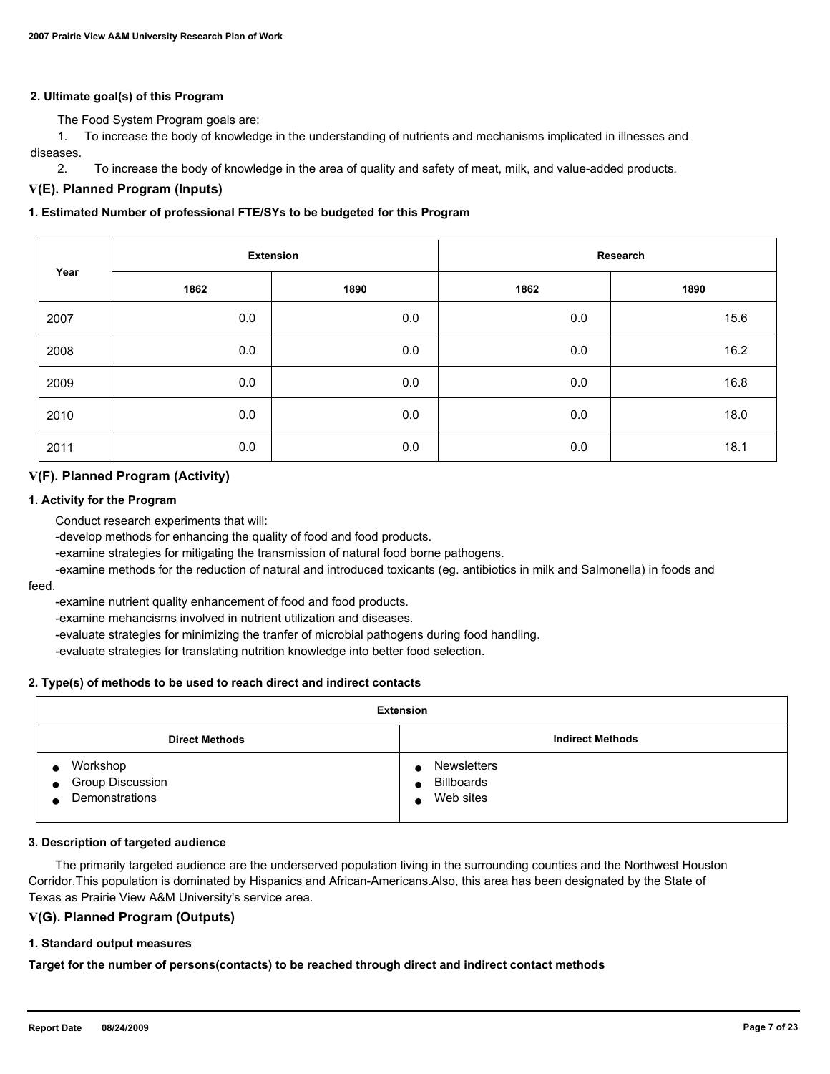# **2. Ultimate goal(s) of this Program**

The Food System Program goals are:

 1. To increase the body of knowledge in the understanding of nutrients and mechanisms implicated in illnesses and diseases.

2. To increase the body of knowledge in the area of quality and safety of meat, milk, and value-added products.

# **V(E). Planned Program (Inputs)**

#### **1. Estimated Number of professional FTE/SYs to be budgeted for this Program**

|      | <b>Extension</b> |      | Research |      |  |
|------|------------------|------|----------|------|--|
| Year | 1862             | 1890 | 1862     | 1890 |  |
| 2007 | 0.0              | 0.0  | 0.0      | 15.6 |  |
| 2008 | 0.0              | 0.0  | 0.0      | 16.2 |  |
| 2009 | 0.0              | 0.0  | 0.0      | 16.8 |  |
| 2010 | 0.0              | 0.0  | 0.0      | 18.0 |  |
| 2011 | 0.0              | 0.0  | 0.0      | 18.1 |  |

# **V(F). Planned Program (Activity)**

#### **1. Activity for the Program**

Conduct research experiments that will:

-develop methods for enhancing the quality of food and food products.

-examine strategies for mitigating the transmission of natural food borne pathogens.

 -examine methods for the reduction of natural and introduced toxicants (eg. antibiotics in milk and Salmonella) in foods and feed.

-examine nutrient quality enhancement of food and food products.

-examine mehancisms involved in nutrient utilization and diseases.

-evaluate strategies for minimizing the tranfer of microbial pathogens during food handling.

-evaluate strategies for translating nutrition knowledge into better food selection.

#### **2. Type(s) of methods to be used to reach direct and indirect contacts**

| <b>Extension</b>                                            |                                                                                |  |  |
|-------------------------------------------------------------|--------------------------------------------------------------------------------|--|--|
| <b>Direct Methods</b>                                       | <b>Indirect Methods</b>                                                        |  |  |
| Workshop<br>Group Discussion<br>$\bullet$<br>Demonstrations | <b>Newsletters</b><br>$\bullet$<br><b>Billboards</b><br>Web sites<br>$\bullet$ |  |  |

#### **3. Description of targeted audience**

 The primarily targeted audience are the underserved population living in the surrounding counties and the Northwest Houston Corridor.This population is dominated by Hispanics and African-Americans.Also, this area has been designated by the State of Texas as Prairie View A&M University's service area.

#### **V(G). Planned Program (Outputs)**

#### **1. Standard output measures**

**Target for the number of persons(contacts) to be reached through direct and indirect contact methods**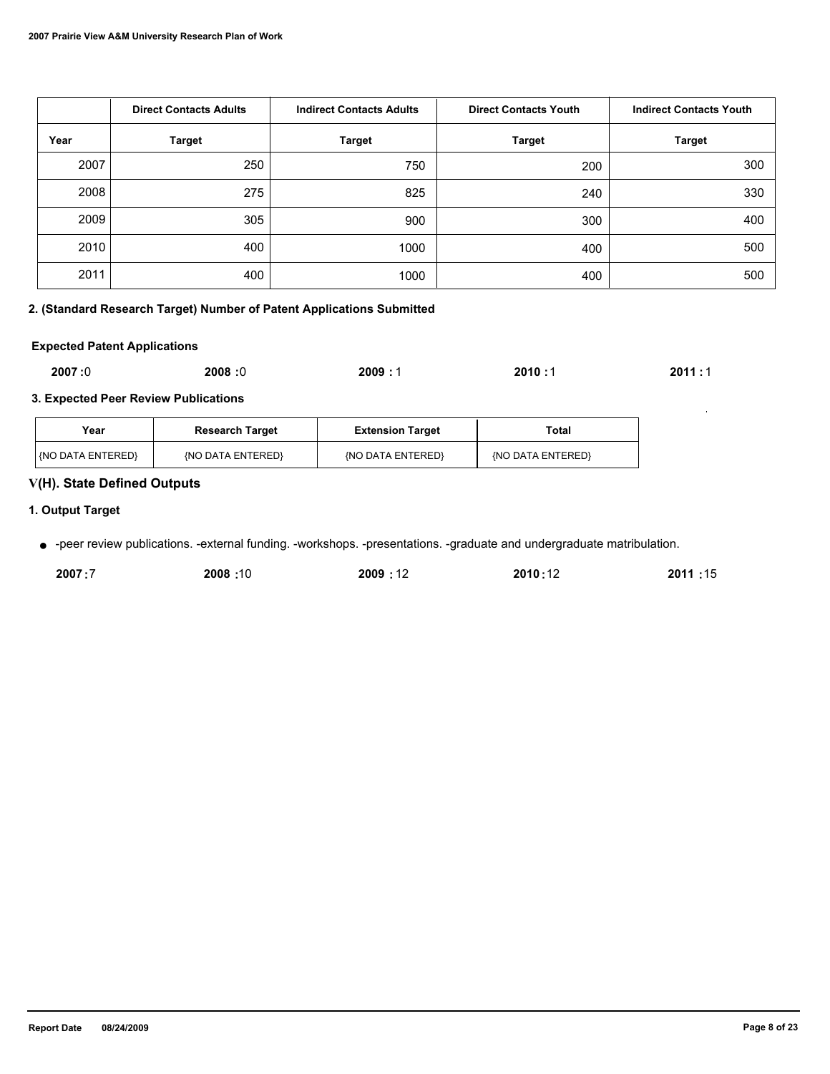|      | <b>Direct Contacts Adults</b> | <b>Indirect Contacts Adults</b> | <b>Direct Contacts Youth</b> | <b>Indirect Contacts Youth</b> |
|------|-------------------------------|---------------------------------|------------------------------|--------------------------------|
| Year | <b>Target</b>                 | <b>Target</b>                   | <b>Target</b>                | <b>Target</b>                  |
| 2007 | 250                           | 750                             | 200                          | 300                            |
| 2008 | 275                           | 825                             | 240                          | 330                            |
| 2009 | 305                           | 900                             | 300                          | 400                            |
| 2010 | 400                           | 1000                            | 400                          | 500                            |
| 2011 | 400                           | 1000                            | 400                          | 500                            |

# **2. (Standard Research Target) Number of Patent Applications Submitted**

# **Expected Patent Applications**

| 2007:0<br>2008:0<br>2009:<br>2010:1<br>$\sim$ $\sim$ $\sim$ | 2011:1 |
|-------------------------------------------------------------|--------|
|-------------------------------------------------------------|--------|

# **3. Expected Peer Review Publications**

| Year                | <b>Research Target</b> | <b>Extension Target</b> | Total             |
|---------------------|------------------------|-------------------------|-------------------|
| l (NO DATA ENTERED) | (NO DATA ENTERED)      | {NO DATA ENTERED}       | {NO DATA ENTERED} |

# **V(H). State Defined Outputs**

# **1. Output Target**

● -peer review publications. -external funding. -workshops. -presentations. -graduate and undergraduate matribulation.

| 2007:7 | 10: 2008 | 2009:12 | 2010:12 | 2011:15 |
|--------|----------|---------|---------|---------|
|        |          |         |         |         |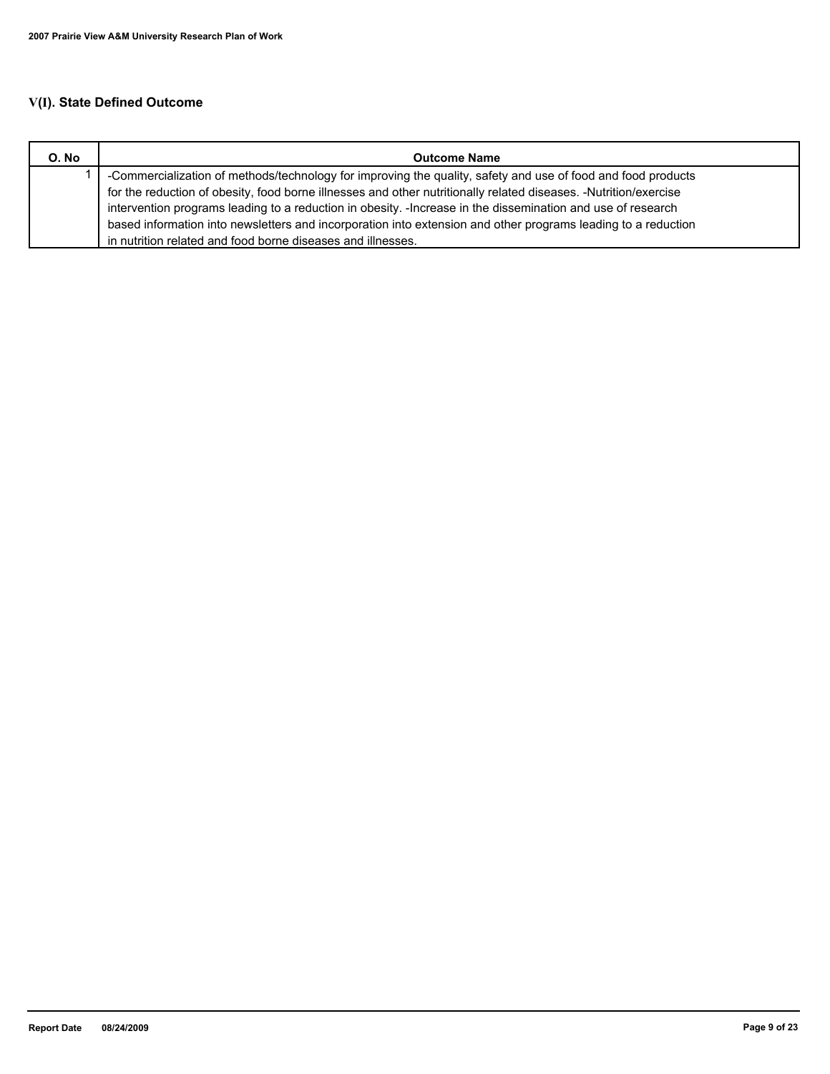# **V(I). State Defined Outcome**

| O. No | <b>Outcome Name</b>                                                                                              |
|-------|------------------------------------------------------------------------------------------------------------------|
|       | -Commercialization of methods/technology for improving the quality, safety and use of food and food products     |
|       | for the reduction of obesity, food borne illnesses and other nutritionally related diseases. -Nutrition/exercise |
|       | intervention programs leading to a reduction in obesity. - Increase in the dissemination and use of research     |
|       | based information into newsletters and incorporation into extension and other programs leading to a reduction    |
|       | in nutrition related and food borne diseases and illnesses.                                                      |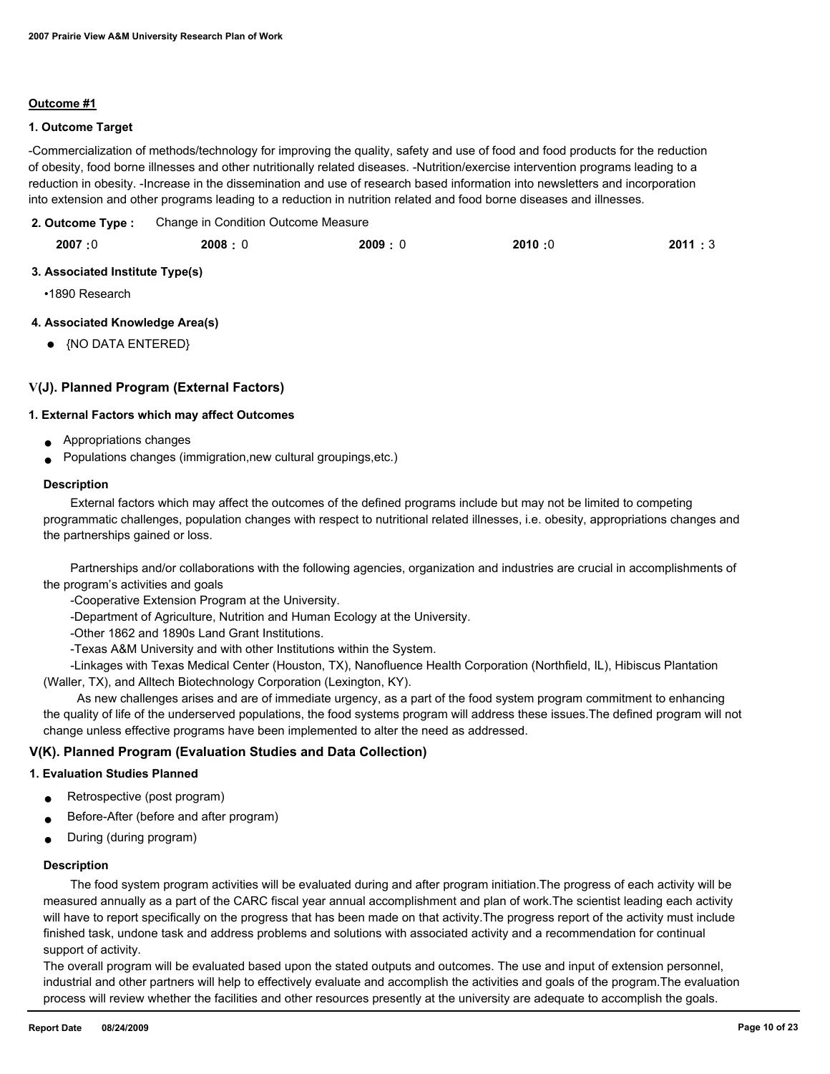### **Outcome #1**

#### **1. Outcome Target**

-Commercialization of methods/technology for improving the quality, safety and use of food and food products for the reduction of obesity, food borne illnesses and other nutritionally related diseases. -Nutrition/exercise intervention programs leading to a reduction in obesity. -Increase in the dissemination and use of research based information into newsletters and incorporation into extension and other programs leading to a reduction in nutrition related and food borne diseases and illnesses.

Change in Condition Outcome Measure **2. Outcome Type :**

| 2007:0<br>2008:0 | 2009:0 | 2010:0 | 2011:3 |
|------------------|--------|--------|--------|
|------------------|--------|--------|--------|

# **3. Associated Institute Type(s)**

•1890 Research

# **4. Associated Knowledge Area(s)**

● {NO DATA ENTERED}

# **V(J). Planned Program (External Factors)**

#### **1. External Factors which may affect Outcomes**

- Appropriations changes
- Populations changes (immigration, new cultural groupings, etc.)

#### **Description**

 External factors which may affect the outcomes of the defined programs include but may not be limited to competing programmatic challenges, population changes with respect to nutritional related illnesses, i.e. obesity, appropriations changes and the partnerships gained or loss.

 Partnerships and/or collaborations with the following agencies, organization and industries are crucial in accomplishments of the program's activities and goals

-Cooperative Extension Program at the University.

-Department of Agriculture, Nutrition and Human Ecology at the University.

-Other 1862 and 1890s Land Grant Institutions.

-Texas A&M University and with other Institutions within the System.

 -Linkages with Texas Medical Center (Houston, TX), Nanofluence Health Corporation (Northfield, IL), Hibiscus Plantation (Waller, TX), and Alltech Biotechnology Corporation (Lexington, KY).

 As new challenges arises and are of immediate urgency, as a part of the food system program commitment to enhancing the quality of life of the underserved populations, the food systems program will address these issues.The defined program will not change unless effective programs have been implemented to alter the need as addressed.

# **V(K). Planned Program (Evaluation Studies and Data Collection)**

#### **1. Evaluation Studies Planned**

- Retrospective (post program)
- Before-After (before and after program)
- During (during program)

#### **Description**

 The food system program activities will be evaluated during and after program initiation.The progress of each activity will be measured annually as a part of the CARC fiscal year annual accomplishment and plan of work.The scientist leading each activity will have to report specifically on the progress that has been made on that activity.The progress report of the activity must include finished task, undone task and address problems and solutions with associated activity and a recommendation for continual support of activity.

The overall program will be evaluated based upon the stated outputs and outcomes. The use and input of extension personnel, industrial and other partners will help to effectively evaluate and accomplish the activities and goals of the program.The evaluation process will review whether the facilities and other resources presently at the university are adequate to accomplish the goals.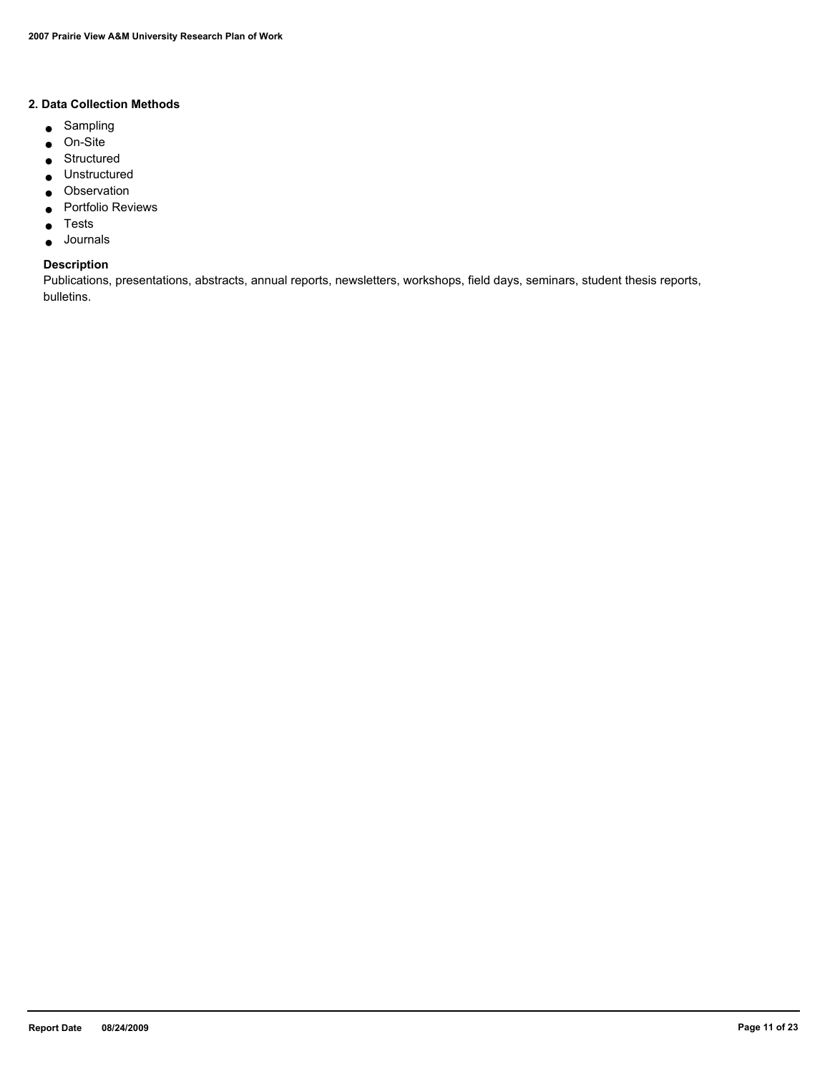# **2. Data Collection Methods**

- Sampling
- On-Site
- Structured
- Unstructured
- Observation
- Portfolio Reviews
- Tests
- Journals

#### **Description**

Publications, presentations, abstracts, annual reports, newsletters, workshops, field days, seminars, student thesis reports, bulletins.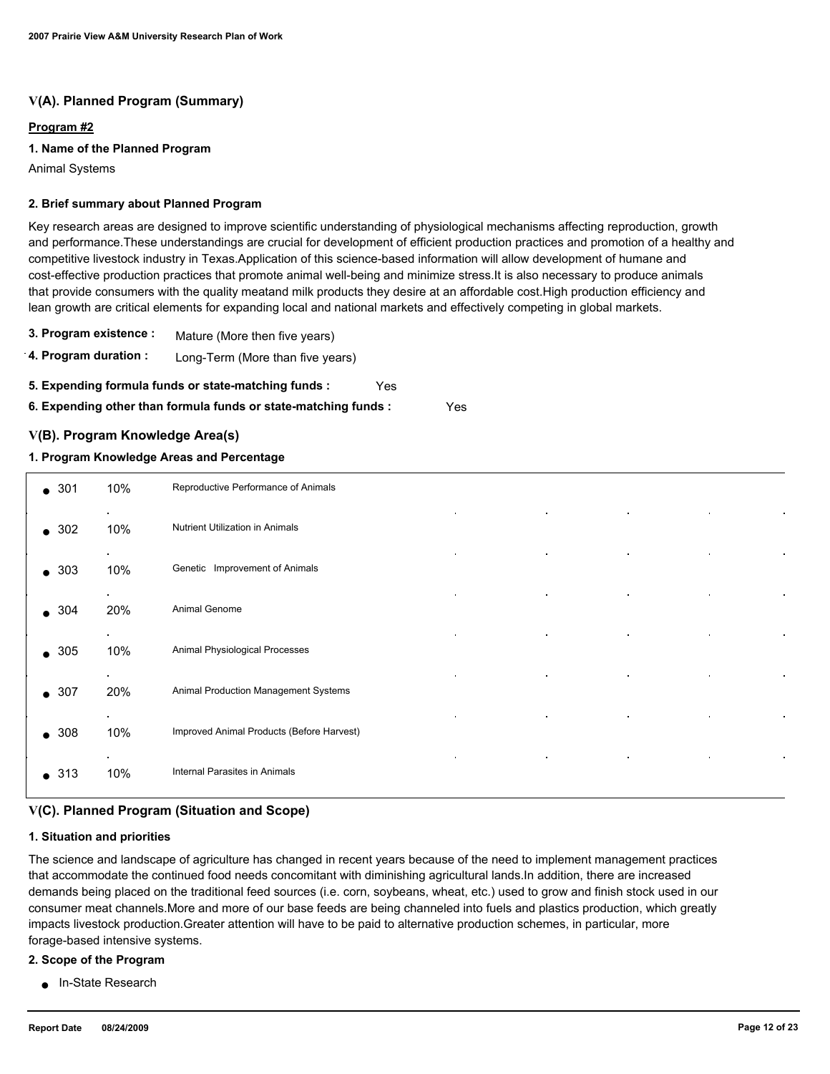# **V(A). Planned Program (Summary)**

# **Program #2**

# **1. Name of the Planned Program**

Animal Systems

#### **2. Brief summary about Planned Program**

Key research areas are designed to improve scientific understanding of physiological mechanisms affecting reproduction, growth and performance.These understandings are crucial for development of efficient production practices and promotion of a healthy and competitive livestock industry in Texas.Application of this science-based information will allow development of humane and cost-effective production practices that promote animal well-being and minimize stress.It is also necessary to produce animals that provide consumers with the quality meatand milk products they desire at an affordable cost.High production efficiency and lean growth are critical elements for expanding local and national markets and effectively competing in global markets.

- **3. Program existence :** Mature (More then five years)
- **4. Program duration :** Long-Term (More than five years)

**5. Expending formula funds or state-matching funds :** Yes

**6. Expending other than formula funds or state-matching funds :** Yes

# **V(B). Program Knowledge Area(s)**

#### **1. Program Knowledge Areas and Percentage**

| $\bullet$ 301 | 10%           | Reproductive Performance of Animals       |  |
|---------------|---------------|-------------------------------------------|--|
| $\bullet$ 302 | 10%           | Nutrient Utilization in Animals           |  |
| $\bullet$ 303 | 10%           | Genetic Improvement of Animals            |  |
| $\bullet$ 304 | $\sim$<br>20% | Animal Genome                             |  |
| $\bullet$ 305 | 10%           | Animal Physiological Processes            |  |
| $\bullet$ 307 | 20%           | Animal Production Management Systems      |  |
| $\bullet$ 308 | $\sim$<br>10% | Improved Animal Products (Before Harvest) |  |
| $\bullet$ 313 | 10%           | Internal Parasites in Animals             |  |

# **V(C). Planned Program (Situation and Scope)**

#### **1. Situation and priorities**

The science and landscape of agriculture has changed in recent years because of the need to implement management practices that accommodate the continued food needs concomitant with diminishing agricultural lands.In addition, there are increased demands being placed on the traditional feed sources (i.e. corn, soybeans, wheat, etc.) used to grow and finish stock used in our consumer meat channels.More and more of our base feeds are being channeled into fuels and plastics production, which greatly impacts livestock production.Greater attention will have to be paid to alternative production schemes, in particular, more forage-based intensive systems.

#### **2. Scope of the Program**

● In-State Research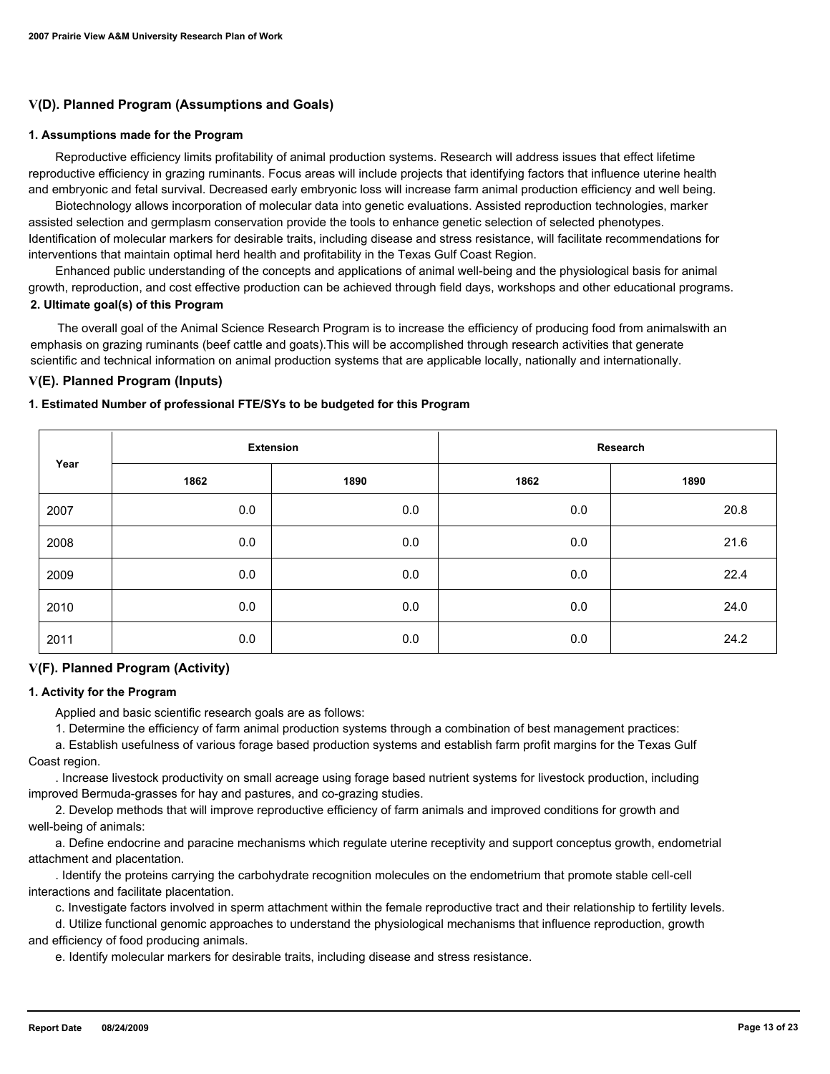# **V(D). Planned Program (Assumptions and Goals)**

#### **1. Assumptions made for the Program**

 Reproductive efficiency limits profitability of animal production systems. Research will address issues that effect lifetime reproductive efficiency in grazing ruminants. Focus areas will include projects that identifying factors that influence uterine health and embryonic and fetal survival. Decreased early embryonic loss will increase farm animal production efficiency and well being.

 Biotechnology allows incorporation of molecular data into genetic evaluations. Assisted reproduction technologies, marker assisted selection and germplasm conservation provide the tools to enhance genetic selection of selected phenotypes. Identification of molecular markers for desirable traits, including disease and stress resistance, will facilitate recommendations for interventions that maintain optimal herd health and profitability in the Texas Gulf Coast Region.

 Enhanced public understanding of the concepts and applications of animal well-being and the physiological basis for animal growth, reproduction, and cost effective production can be achieved through field days, workshops and other educational programs. **2. Ultimate goal(s) of this Program**

 The overall goal of the Animal Science Research Program is to increase the efficiency of producing food from animalswith an emphasis on grazing ruminants (beef cattle and goats).This will be accomplished through research activities that generate scientific and technical information on animal production systems that are applicable locally, nationally and internationally.

# **V(E). Planned Program (Inputs)**

#### **1. Estimated Number of professional FTE/SYs to be budgeted for this Program**

| Year | <b>Extension</b> |      | Research |      |
|------|------------------|------|----------|------|
|      | 1862             | 1890 | 1862     | 1890 |
| 2007 | 0.0              | 0.0  | 0.0      | 20.8 |
| 2008 | 0.0              | 0.0  | 0.0      | 21.6 |
| 2009 | 0.0              | 0.0  | 0.0      | 22.4 |
| 2010 | 0.0              | 0.0  | 0.0      | 24.0 |
| 2011 | 0.0              | 0.0  | 0.0      | 24.2 |

#### **V(F). Planned Program (Activity)**

#### **1. Activity for the Program**

Applied and basic scientific research goals are as follows:

1. Determine the efficiency of farm animal production systems through a combination of best management practices:

 a. Establish usefulness of various forage based production systems and establish farm profit margins for the Texas Gulf Coast region.

 . Increase livestock productivity on small acreage using forage based nutrient systems for livestock production, including improved Bermuda-grasses for hay and pastures, and co-grazing studies.

 2. Develop methods that will improve reproductive efficiency of farm animals and improved conditions for growth and well-being of animals:

 a. Define endocrine and paracine mechanisms which regulate uterine receptivity and support conceptus growth, endometrial attachment and placentation.

 . Identify the proteins carrying the carbohydrate recognition molecules on the endometrium that promote stable cell-cell interactions and facilitate placentation.

c. Investigate factors involved in sperm attachment within the female reproductive tract and their relationship to fertility levels.

 d. Utilize functional genomic approaches to understand the physiological mechanisms that influence reproduction, growth and efficiency of food producing animals.

e. Identify molecular markers for desirable traits, including disease and stress resistance.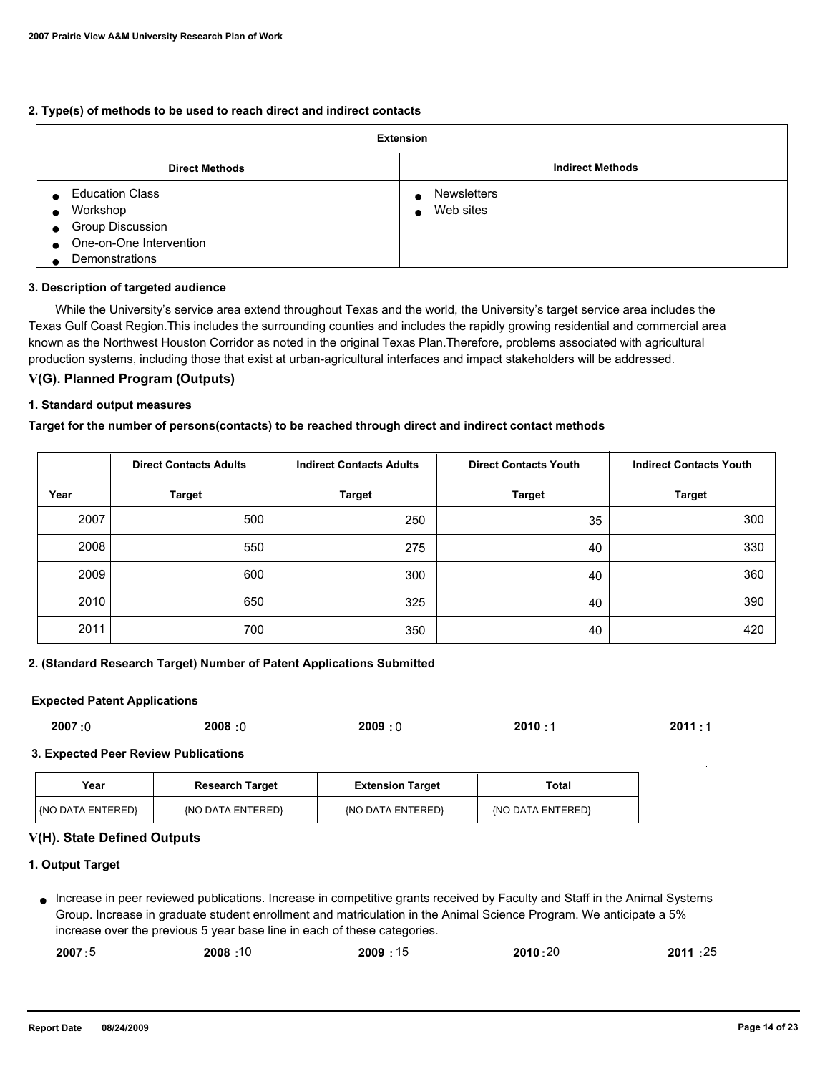#### **2. Type(s) of methods to be used to reach direct and indirect contacts**

| <b>Extension</b>                     |                         |  |  |
|--------------------------------------|-------------------------|--|--|
| <b>Direct Methods</b>                | <b>Indirect Methods</b> |  |  |
| <b>Education Class</b>               | <b>Newsletters</b>      |  |  |
| Workshop                             | Web sites<br>$\bullet$  |  |  |
| <b>Group Discussion</b><br>$\bullet$ |                         |  |  |
| One-on-One Intervention<br>$\bullet$ |                         |  |  |
| <b>Demonstrations</b>                |                         |  |  |

#### **3. Description of targeted audience**

 While the University's service area extend throughout Texas and the world, the University's target service area includes the Texas Gulf Coast Region.This includes the surrounding counties and includes the rapidly growing residential and commercial area known as the Northwest Houston Corridor as noted in the original Texas Plan.Therefore, problems associated with agricultural production systems, including those that exist at urban-agricultural interfaces and impact stakeholders will be addressed.

#### **V(G). Planned Program (Outputs)**

#### **1. Standard output measures**

#### **Target for the number of persons(contacts) to be reached through direct and indirect contact methods**

|      | <b>Direct Contacts Adults</b> | <b>Indirect Contacts Adults</b> | <b>Direct Contacts Youth</b> | <b>Indirect Contacts Youth</b> |
|------|-------------------------------|---------------------------------|------------------------------|--------------------------------|
| Year | <b>Target</b>                 | <b>Target</b>                   | <b>Target</b>                | <b>Target</b>                  |
| 2007 | 500                           | 250                             | 35                           | 300                            |
| 2008 | 550                           | 275                             | 40                           | 330                            |
| 2009 | 600                           | 300                             | 40                           | 360                            |
| 2010 | 650                           | 325                             | 40                           | 390                            |
| 2011 | 700                           | 350                             | 40                           | 420                            |

#### **2. (Standard Research Target) Number of Patent Applications Submitted**

#### **Expected Patent Applications**

| 2008:0<br>2007:0 | 2009:0 | 2010: | 2011:1 |
|------------------|--------|-------|--------|
|------------------|--------|-------|--------|

#### **3. Expected Peer Review Publications**

| Year                    | <b>Research Target</b> | <b>Extension Target</b> | Total             |
|-------------------------|------------------------|-------------------------|-------------------|
| <b>NO DATA ENTERED!</b> | {NO DATA ENTERED}      | {NO DATA ENTERED}       | {NO DATA ENTERED} |

# **V(H). State Defined Outputs**

# **1. Output Target**

Increase in peer reviewed publications. Increase in competitive grants received by Faculty and Staff in the Animal Systems ● Group. Increase in graduate student enrollment and matriculation in the Animal Science Program. We anticipate a 5% increase over the previous 5 year base line in each of these categories.

| 2007:5 | 10: 2008 | 2009:15 | 2010:20 | 2011:25 |
|--------|----------|---------|---------|---------|
|        |          |         |         |         |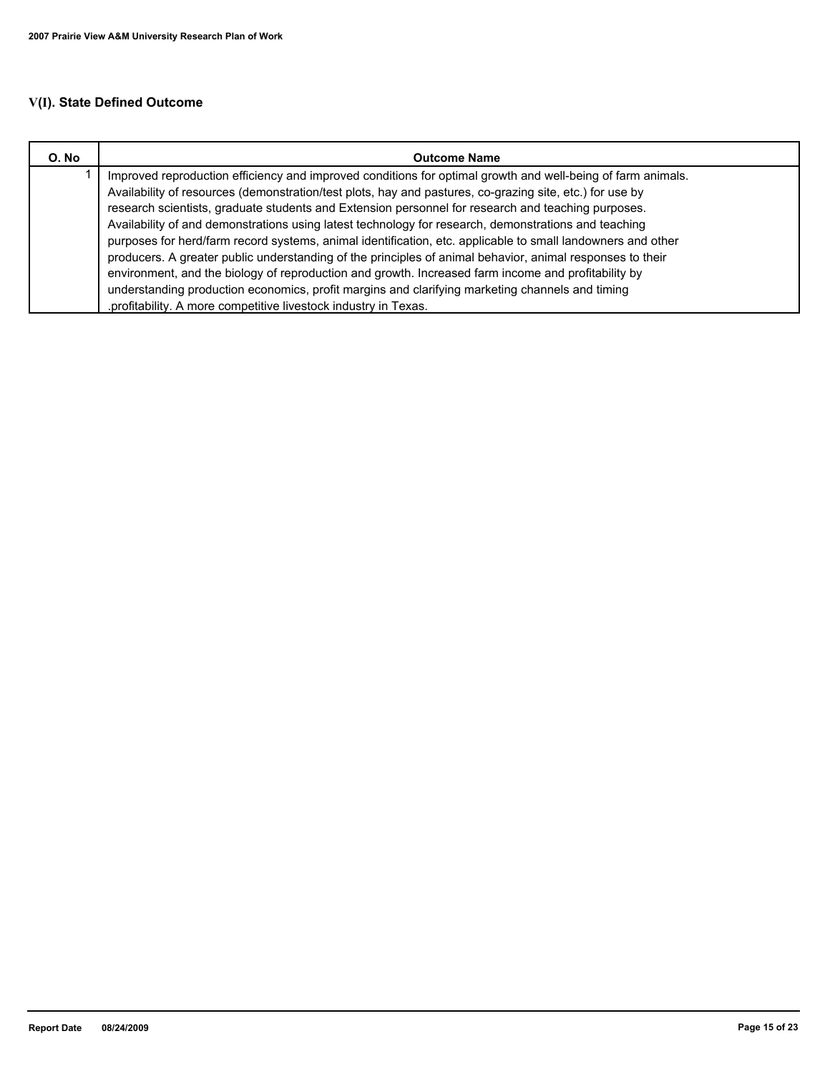# **V(I). State Defined Outcome**

| O. No | <b>Outcome Name</b>                                                                                         |  |  |  |
|-------|-------------------------------------------------------------------------------------------------------------|--|--|--|
|       | Improved reproduction efficiency and improved conditions for optimal growth and well-being of farm animals. |  |  |  |
|       | Availability of resources (demonstration/test plots, hay and pastures, co-grazing site, etc.) for use by    |  |  |  |
|       | research scientists, graduate students and Extension personnel for research and teaching purposes.          |  |  |  |
|       | Availability of and demonstrations using latest technology for research, demonstrations and teaching        |  |  |  |
|       | purposes for herd/farm record systems, animal identification, etc. applicable to small landowners and other |  |  |  |
|       | producers. A greater public understanding of the principles of animal behavior, animal responses to their   |  |  |  |
|       | environment, and the biology of reproduction and growth. Increased farm income and profitability by         |  |  |  |
|       | understanding production economics, profit margins and clarifying marketing channels and timing             |  |  |  |
|       | .profitability. A more competitive livestock industry in Texas.                                             |  |  |  |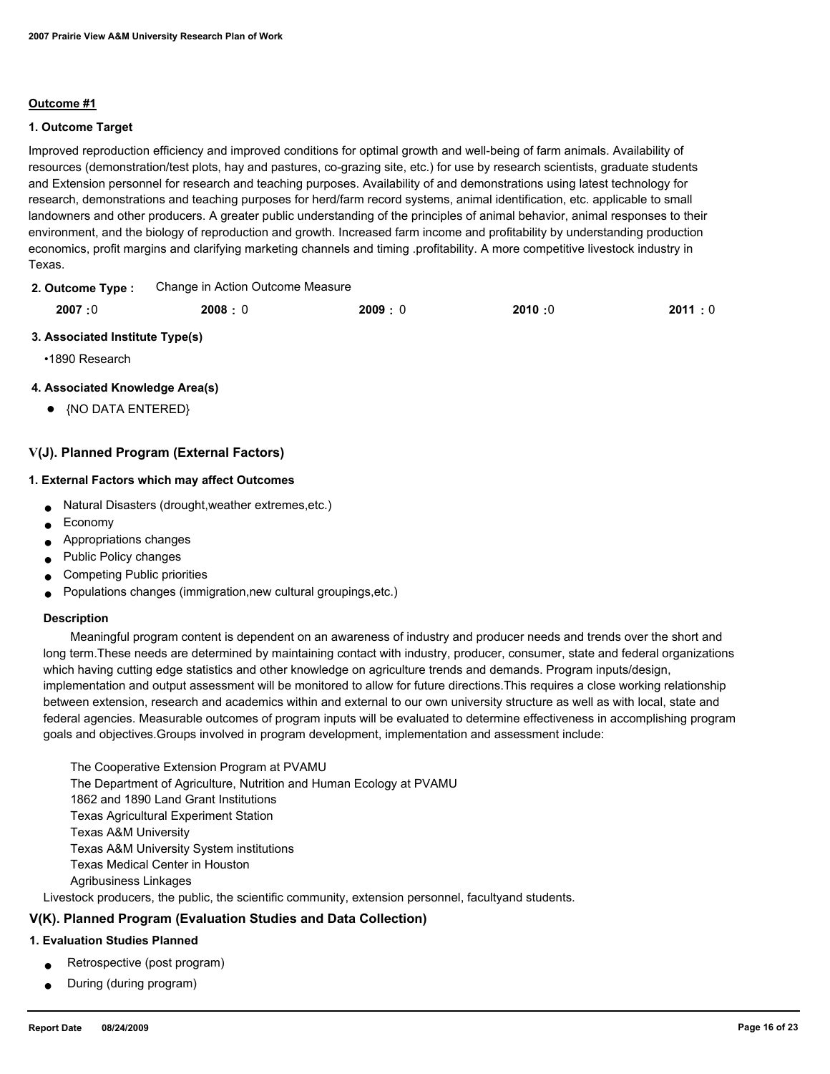#### **Outcome #1**

#### **1. Outcome Target**

Improved reproduction efficiency and improved conditions for optimal growth and well-being of farm animals. Availability of resources (demonstration/test plots, hay and pastures, co-grazing site, etc.) for use by research scientists, graduate students and Extension personnel for research and teaching purposes. Availability of and demonstrations using latest technology for research, demonstrations and teaching purposes for herd/farm record systems, animal identification, etc. applicable to small landowners and other producers. A greater public understanding of the principles of animal behavior, animal responses to their environment, and the biology of reproduction and growth. Increased farm income and profitability by understanding production economics, profit margins and clarifying marketing channels and timing .profitability. A more competitive livestock industry in Texas.

Change in Action Outcome Measure **2. Outcome Type :**

| 2007:0 | 2008:0 | 2009:0 | 2010:0 | 2011:0 |
|--------|--------|--------|--------|--------|
|        |        |        |        |        |

#### **3. Associated Institute Type(s)**

•1890 Research

# **4. Associated Knowledge Area(s)**

● {NO DATA ENTERED}

# **V(J). Planned Program (External Factors)**

#### **1. External Factors which may affect Outcomes**

- Natural Disasters (drought,weather extremes,etc.)
- Economy
- Appropriations changes
- Public Policy changes
- Competing Public priorities
- Populations changes (immigration,new cultural groupings,etc.)

#### **Description**

 Meaningful program content is dependent on an awareness of industry and producer needs and trends over the short and long term.These needs are determined by maintaining contact with industry, producer, consumer, state and federal organizations which having cutting edge statistics and other knowledge on agriculture trends and demands. Program inputs/design, implementation and output assessment will be monitored to allow for future directions.This requires a close working relationship between extension, research and academics within and external to our own university structure as well as with local, state and federal agencies. Measurable outcomes of program inputs will be evaluated to determine effectiveness in accomplishing program goals and objectives.Groups involved in program development, implementation and assessment include:

 The Cooperative Extension Program at PVAMU The Department of Agriculture, Nutrition and Human Ecology at PVAMU 1862 and 1890 Land Grant Institutions Texas Agricultural Experiment Station Texas A&M University Texas A&M University System institutions Texas Medical Center in Houston Agribusiness Linkages Livestock producers, the public, the scientific community, extension personnel, facultyand students.

# **V(K). Planned Program (Evaluation Studies and Data Collection)**

#### **1. Evaluation Studies Planned**

- Retrospective (post program)
- During (during program)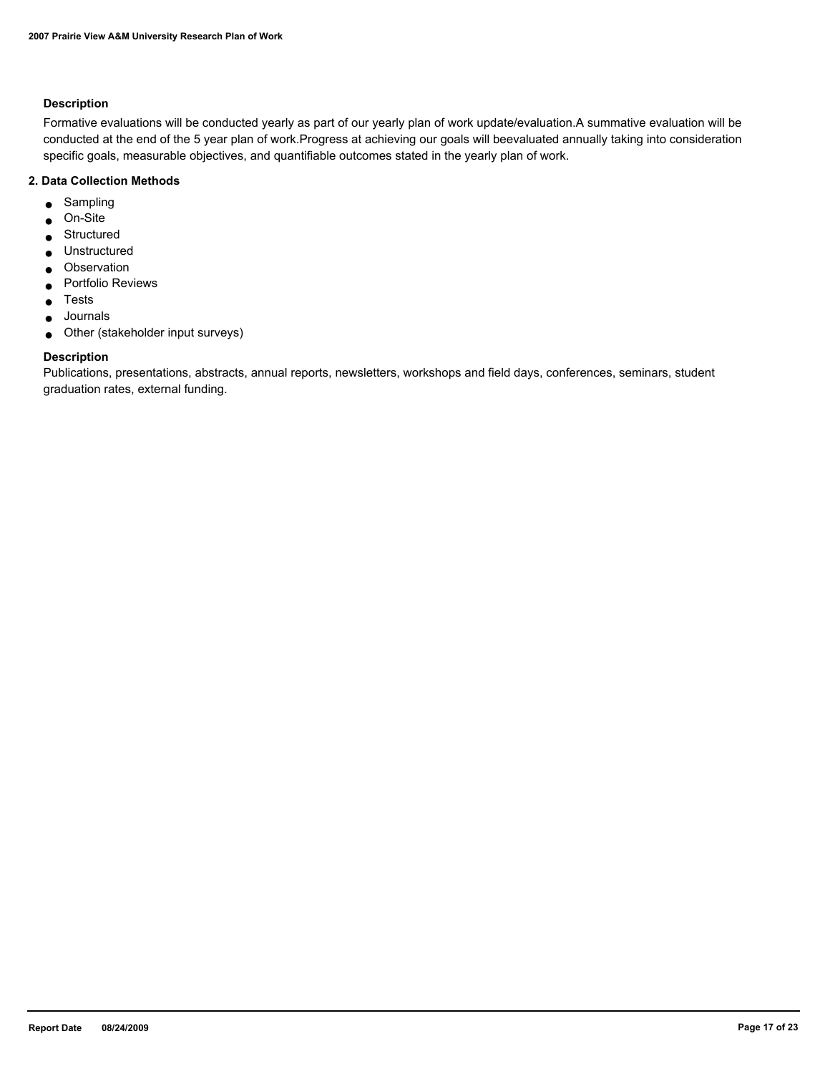# **Description**

Formative evaluations will be conducted yearly as part of our yearly plan of work update/evaluation.A summative evaluation will be conducted at the end of the 5 year plan of work.Progress at achieving our goals will beevaluated annually taking into consideration specific goals, measurable objectives, and quantifiable outcomes stated in the yearly plan of work.

# **2. Data Collection Methods**

- Sampling
- On-Site
- Structured
- Unstructured
- Observation
- Portfolio Reviews
- Tests
- Journals
- Other (stakeholder input surveys)

# **Description**

Publications, presentations, abstracts, annual reports, newsletters, workshops and field days, conferences, seminars, student graduation rates, external funding.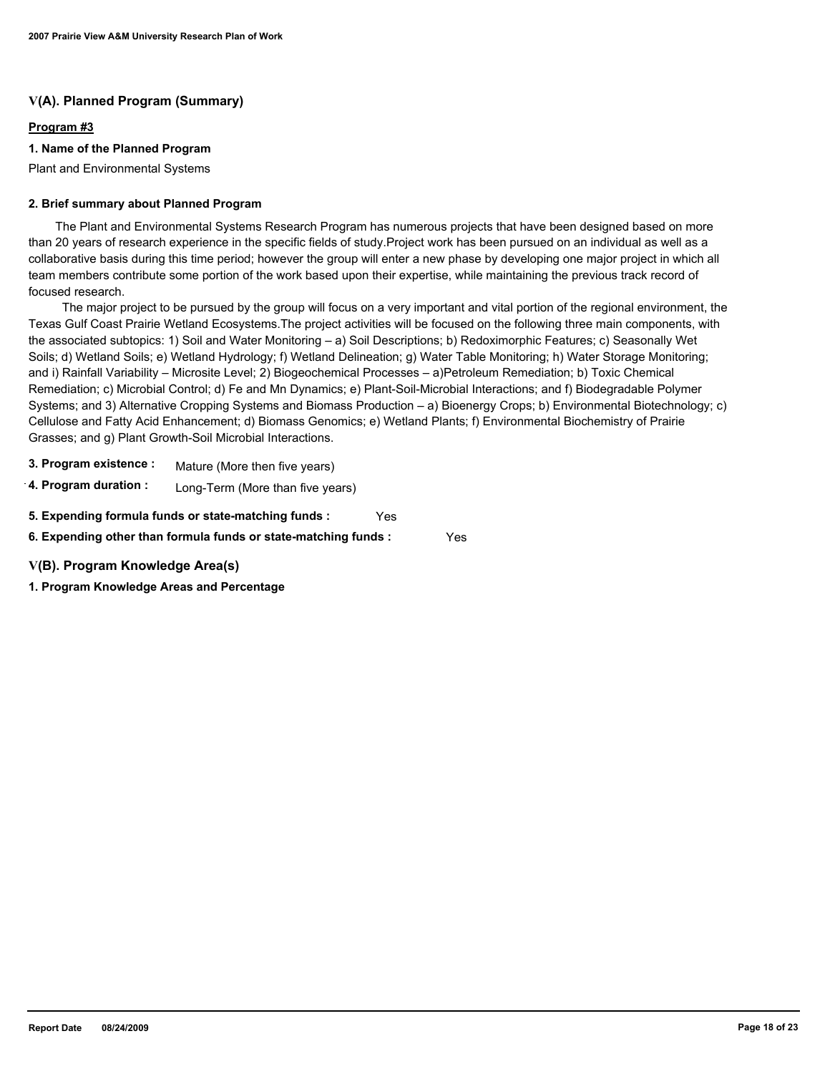# **V(A). Planned Program (Summary)**

# **Program #3**

### **1. Name of the Planned Program**

Plant and Environmental Systems

### **2. Brief summary about Planned Program**

 The Plant and Environmental Systems Research Program has numerous projects that have been designed based on more than 20 years of research experience in the specific fields of study.Project work has been pursued on an individual as well as a collaborative basis during this time period; however the group will enter a new phase by developing one major project in which all team members contribute some portion of the work based upon their expertise, while maintaining the previous track record of focused research.

 The major project to be pursued by the group will focus on a very important and vital portion of the regional environment, the Texas Gulf Coast Prairie Wetland Ecosystems.The project activities will be focused on the following three main components, with the associated subtopics: 1) Soil and Water Monitoring – a) Soil Descriptions; b) Redoximorphic Features; c) Seasonally Wet Soils; d) Wetland Soils; e) Wetland Hydrology; f) Wetland Delineation; g) Water Table Monitoring; h) Water Storage Monitoring; and i) Rainfall Variability – Microsite Level; 2) Biogeochemical Processes – a)Petroleum Remediation; b) Toxic Chemical Remediation; c) Microbial Control; d) Fe and Mn Dynamics; e) Plant-Soil-Microbial Interactions; and f) Biodegradable Polymer Systems; and 3) Alternative Cropping Systems and Biomass Production – a) Bioenergy Crops; b) Environmental Biotechnology; c) Cellulose and Fatty Acid Enhancement; d) Biomass Genomics; e) Wetland Plants; f) Environmental Biochemistry of Prairie Grasses; and g) Plant Growth-Soil Microbial Interactions.

- **3. Program existence :** Mature (More then five years)
- **4. Program duration :** Long-Term (More than five years)

**5. Expending formula funds or state-matching funds :** Yes

**6. Expending other than formula funds or state-matching funds :** Yes

**V(B). Program Knowledge Area(s)**

**1. Program Knowledge Areas and Percentage**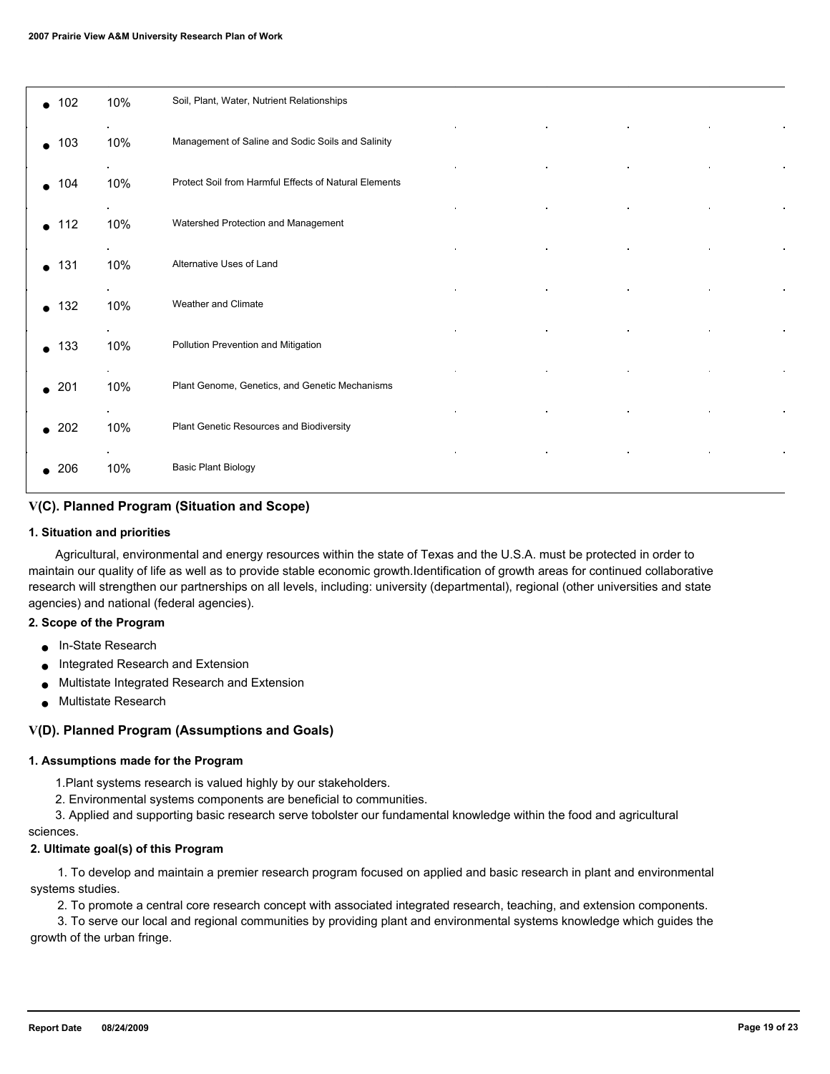| $\bullet$ 102    | 10% | Soil, Plant, Water, Nutrient Relationships                           |
|------------------|-----|----------------------------------------------------------------------|
| 103<br>$\bullet$ | 10% | Management of Saline and Sodic Soils and Salinity                    |
| $\bullet$ 104    | 10% | $\bullet$ .<br>Protect Soil from Harmful Effects of Natural Elements |
| 112<br>$\bullet$ | 10% | $\bullet$<br>Watershed Protection and Management                     |
| $\bullet$ 131    | 10% | Alternative Uses of Land                                             |
| 132<br>$\bullet$ | 10% | Weather and Climate                                                  |
| 133<br>$\bullet$ | 10% | Pollution Prevention and Mitigation                                  |
| $\bullet$ 201    | 10% | Plant Genome, Genetics, and Genetic Mechanisms                       |
| $\bullet$ 202    | 10% | Plant Genetic Resources and Biodiversity                             |
| 206              | 10% | <b>Basic Plant Biology</b>                                           |

# **V(C). Planned Program (Situation and Scope)**

#### **1. Situation and priorities**

 Agricultural, environmental and energy resources within the state of Texas and the U.S.A. must be protected in order to maintain our quality of life as well as to provide stable economic growth.Identification of growth areas for continued collaborative research will strengthen our partnerships on all levels, including: university (departmental), regional (other universities and state agencies) and national (federal agencies).

#### **2. Scope of the Program**

- In-State Research
- Integrated Research and Extension
- Multistate Integrated Research and Extension
- Multistate Research

# **V(D). Planned Program (Assumptions and Goals)**

#### **1. Assumptions made for the Program**

1.Plant systems research is valued highly by our stakeholders.

2. Environmental systems components are beneficial to communities.

 3. Applied and supporting basic research serve tobolster our fundamental knowledge within the food and agricultural sciences.

#### **2. Ultimate goal(s) of this Program**

 1. To develop and maintain a premier research program focused on applied and basic research in plant and environmental systems studies.

2. To promote a central core research concept with associated integrated research, teaching, and extension components.

 3. To serve our local and regional communities by providing plant and environmental systems knowledge which guides the growth of the urban fringe.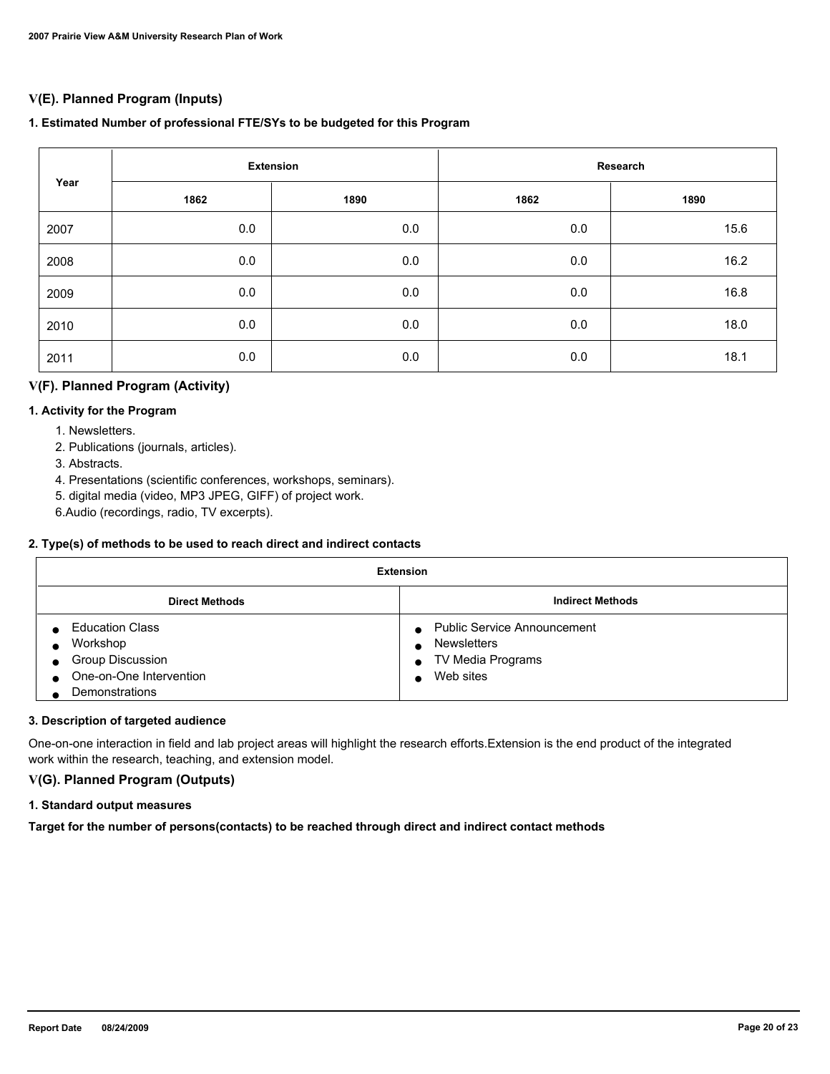# **V(E). Planned Program (Inputs)**

# **1. Estimated Number of professional FTE/SYs to be budgeted for this Program**

| Year | <b>Extension</b> |      | Research |      |
|------|------------------|------|----------|------|
|      | 1862             | 1890 | 1862     | 1890 |
| 2007 | 0.0              | 0.0  | 0.0      | 15.6 |
| 2008 | 0.0              | 0.0  | 0.0      | 16.2 |
| 2009 | 0.0              | 0.0  | 0.0      | 16.8 |
| 2010 | 0.0              | 0.0  | 0.0      | 18.0 |
| 2011 | 0.0              | 0.0  | 0.0      | 18.1 |

# **V(F). Planned Program (Activity)**

# **1. Activity for the Program**

- 1. Newsletters.
- 2. Publications (journals, articles).
- 3. Abstracts.
- 4. Presentations (scientific conferences, workshops, seminars).
- 5. digital media (video, MP3 JPEG, GIFF) of project work.
- 6.Audio (recordings, radio, TV excerpts).

# **2. Type(s) of methods to be used to reach direct and indirect contacts**

| <b>Extension</b>                                                                                           |                                                                                            |  |  |
|------------------------------------------------------------------------------------------------------------|--------------------------------------------------------------------------------------------|--|--|
| <b>Indirect Methods</b><br><b>Direct Methods</b>                                                           |                                                                                            |  |  |
| <b>Education Class</b><br>Workshop<br><b>Group Discussion</b><br>One-on-One Intervention<br>Demonstrations | <b>Public Service Announcement</b><br><b>Newsletters</b><br>TV Media Programs<br>Web sites |  |  |

# **3. Description of targeted audience**

One-on-one interaction in field and lab project areas will highlight the research efforts.Extension is the end product of the integrated work within the research, teaching, and extension model.

# **V(G). Planned Program (Outputs)**

# **1. Standard output measures**

**Target for the number of persons(contacts) to be reached through direct and indirect contact methods**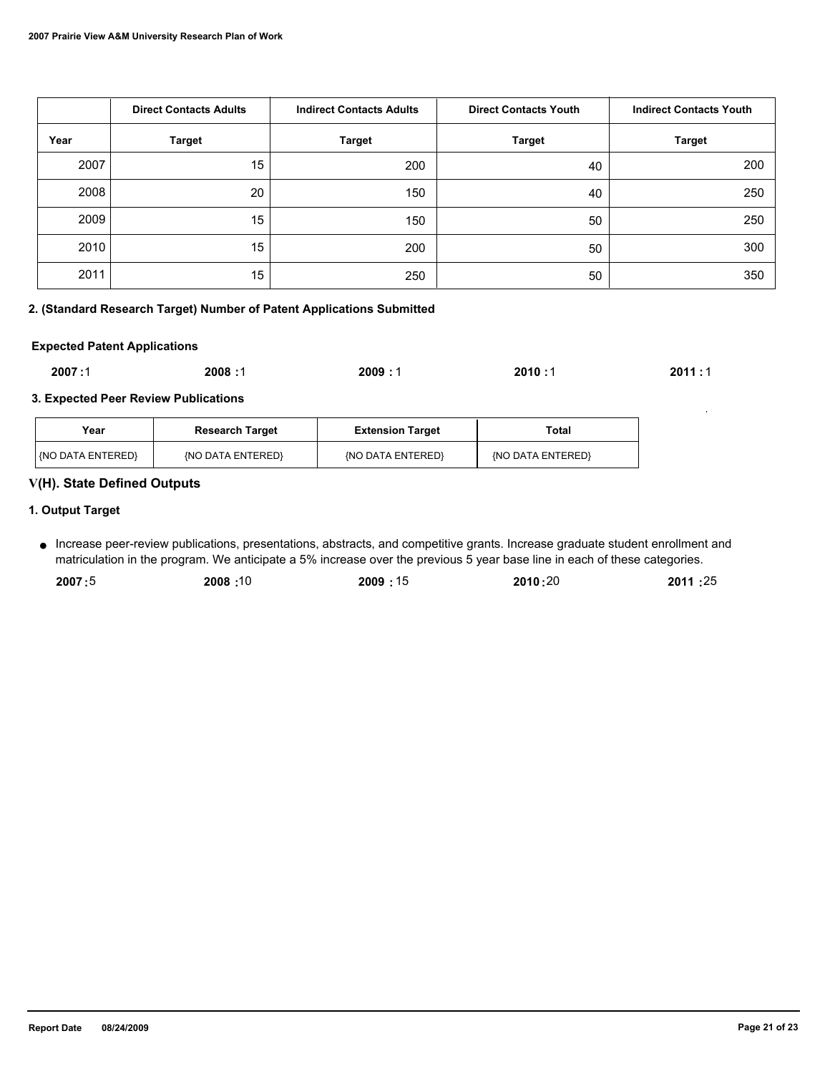|      | <b>Direct Contacts Adults</b> | <b>Indirect Contacts Adults</b> | <b>Direct Contacts Youth</b> | <b>Indirect Contacts Youth</b> |
|------|-------------------------------|---------------------------------|------------------------------|--------------------------------|
| Year | <b>Target</b>                 | <b>Target</b>                   | <b>Target</b>                | <b>Target</b>                  |
| 2007 | 15                            | 200                             | 40                           | 200                            |
| 2008 | 20                            | 150                             | 40                           | 250                            |
| 2009 | 15                            | 150                             | 50                           | 250                            |
| 2010 | 15                            | 200                             | 50                           | 300                            |
| 2011 | 15                            | 250                             | 50                           | 350                            |

# **2. (Standard Research Target) Number of Patent Applications Submitted**

#### **Expected Patent Applications**

| 2007:1<br>2008 : 1<br>2011:1<br>2009:1<br>2010:1<br>- 1 |
|---------------------------------------------------------|
|---------------------------------------------------------|

#### **3. Expected Peer Review Publications**

| Year                    | <b>Research Target</b> | <b>Extension Target</b> | Total             |
|-------------------------|------------------------|-------------------------|-------------------|
| <b>NO DATA ENTERED!</b> | (NO DATA ENTERED)      | {NO DATA ENTERED}       | (NO DATA ENTERED) |

# **V(H). State Defined Outputs**

# **1. Output Target**

Increase peer-review publications, presentations, abstracts, and competitive grants. Increase graduate student enrollment and ● matriculation in the program. We anticipate a 5% increase over the previous 5 year base line in each of these categories.

| 2007:5<br>2009:15<br>2010:20<br>10: 2008 | 2011:25 |
|------------------------------------------|---------|
|------------------------------------------|---------|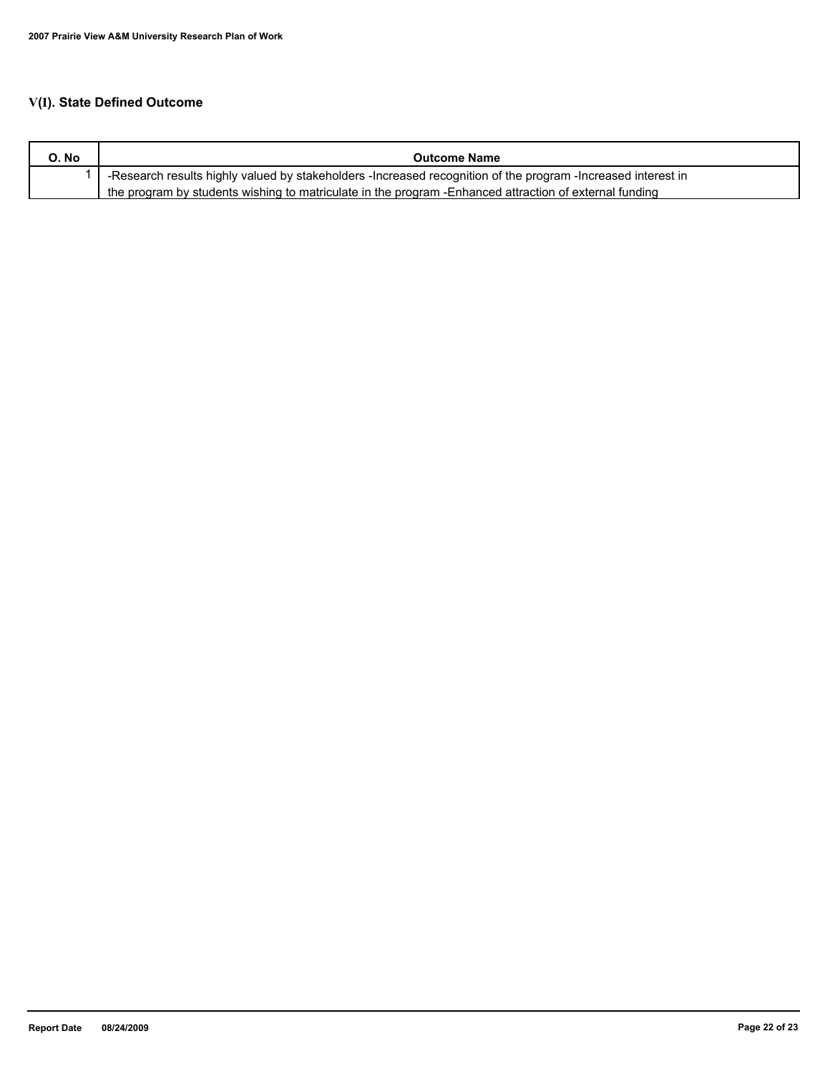# **V(I). State Defined Outcome**

| O. No | <b>Outcome Name</b>                                                                                          |
|-------|--------------------------------------------------------------------------------------------------------------|
|       | -Research results highly valued by stakeholders -Increased recognition of the program -Increased interest in |
|       | the program by students wishing to matriculate in the program - Enhanced attraction of external funding      |